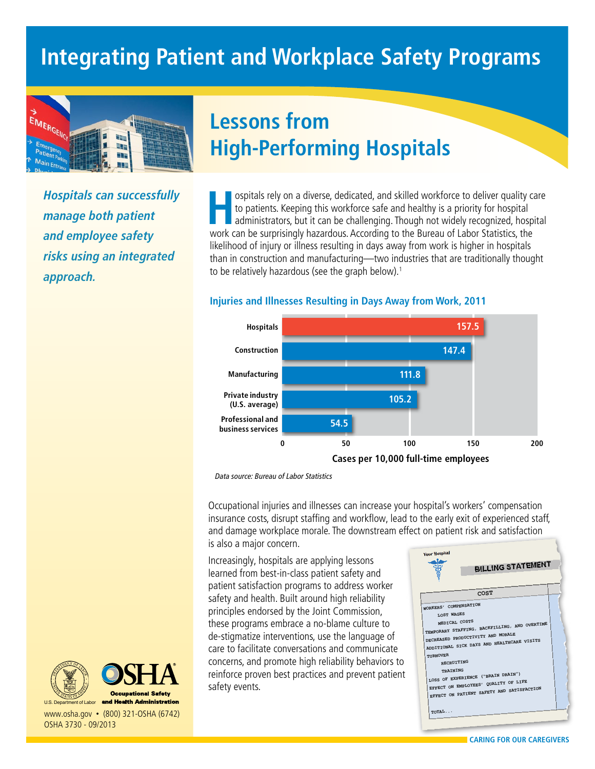

*Hospitals can successfully manage both patient and employee safety risks using an integrated approach.*

# **Lessons from High-Performing Hospitals**

**Hospitals rely on a diverse, dedicated, and skilled workforce to deliver quality care to patients. Keeping this workforce safe and healthy is a priority for hospital administrators, but it can be challenging. Though not w** to patients. Keeping this workforce safe and healthy is a priority for hospital work can be surprisingly hazardous. According to the Bureau of Labor Statistics, the likelihood of injury or illness resulting in days away from work is higher in hospitals **Injuries and Illnesses Resulting in**  than in construction and manufacturing—two industries that are traditionally thought than in construction and manufacturing—two inc<br>to be relatively hazardous (see the graph below).<sup>1</sup>



### **Injuries and Illnesses Resulting in Days Away from Work, 2011**

Data source: Bureau of Labor Statistics

Occupational injuries and illnesses can increase your hospital's workers' compensation insurance costs, disrupt staffing and workflow, lead to the early exit of experienced staff, and damage workplace morale. The downstream effect on patient risk and satisfaction is also a major concern.

Increasingly, hospitals are applying lessons learned from best-in-class patient safety and patient satisfaction programs to address worker safety and health. Built around high reliability principles endorsed by the Joint Commission, these programs embrace a no-blame culture to de-stigmatize interventions, use the language of care to facilitate conversations and communicate concerns, and promote high reliability behaviors to reinforce proven best practices and prevent patient safety events.





www.osha.gov • (800) 321-OSHA (6742) OSHA 3730 - 09/2013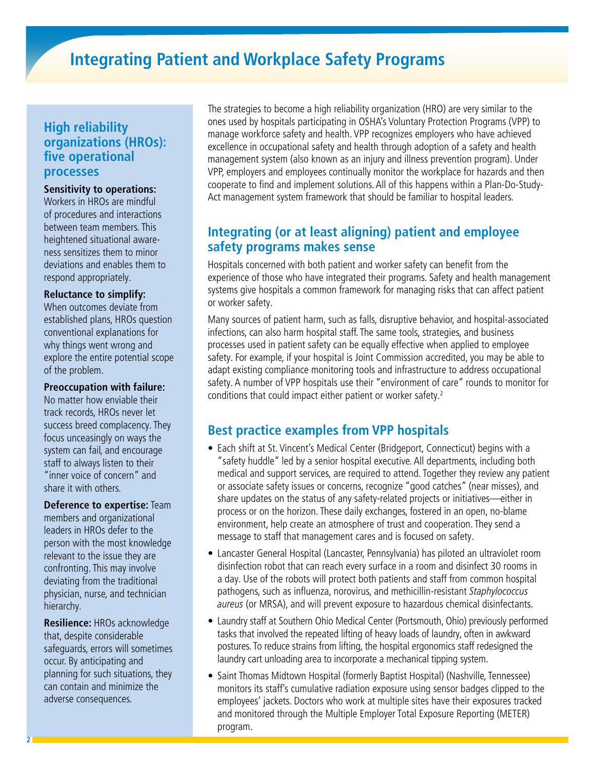### **High reliability organizations (HROs): five operational processes**

#### **Sensitivity to operations:**

Workers in HROs are mindful of procedures and interactions between team members. This heightened situational awareness sensitizes them to minor deviations and enables them to respond appropriately.

#### **Reluctance to simplify:**

When outcomes deviate from established plans, HROs question conventional explanations for why things went wrong and explore the entire potential scope of the problem.

#### **Preoccupation with failure:**

No matter how enviable their track records, HROs never let success breed complacency. They focus unceasingly on ways the system can fail, and encourage staff to always listen to their "inner voice of concern" and share it with others.

**Deference to expertise:** Team members and organizational leaders in HROs defer to the person with the most knowledge relevant to the issue they are confronting. This may involve deviating from the traditional physician, nurse, and technician hierarchy.

**Resilience:** HROs acknowledge that, despite considerable safeguards, errors will sometimes occur. By anticipating and planning for such situations, they can contain and minimize the adverse consequences.

The strategies to become a high reliability organization (HRO) are very similar to the ones used by hospitals participating in OSHA's Voluntary Protection Programs (VPP) to manage workforce safety and health. VPP recognizes employers who have achieved excellence in occupational safety and health through adoption of a safety and health management system (also known as an injury and illness prevention program). Under VPP, employers and employees continually monitor the workplace for hazards and then cooperate to find and implement solutions. All of this happens within a Plan-Do-Study-Act management system framework that should be familiar to hospital leaders.

## **Integrating (or at least aligning) patient and employee safety programs makes sense**

Hospitals concerned with both patient and worker safety can benefit from the experience of those who have integrated their programs. Safety and health management systems give hospitals a common framework for managing risks that can affect patient or worker safety.

Many sources of patient harm, such as falls, disruptive behavior, and hospital-associated infections, can also harm hospital staff. The same tools, strategies, and business processes used in patient safety can be equally effective when applied to employee safety. For example, if your hospital is Joint Commission accredited, you may be able to adapt existing compliance monitoring tools and infrastructure to address occupational safety. A number of VPP hospitals use their "environment of care" rounds to monitor for conditions that could impact either patient or worker safety.<sup>2</sup>

### **Best practice examples from VPP hospitals**

- Each shift at St. Vincent's Medical Center (Bridgeport, Connecticut) begins with a "safety huddle" led by a senior hospital executive. All departments, including both medical and support services, are required to attend. Together they review any patient or associate safety issues or concerns, recognize "good catches" (near misses), and share updates on the status of any safety-related projects or initiatives—either in process or on the horizon. These daily exchanges, fostered in an open, no-blame environment, help create an atmosphere of trust and cooperation. They send a message to staff that management cares and is focused on safety.
- Lancaster General Hospital (Lancaster, Pennsylvania) has piloted an ultraviolet room disinfection robot that can reach every surface in a room and disinfect 30 rooms in a day. Use of the robots will protect both patients and staff from common hospital pathogens, such as influenza, norovirus, and methicillin-resistant Staphylococcus aureus (or MRSA), and will prevent exposure to hazardous chemical disinfectants.
- Laundry staff at Southern Ohio Medical Center (Portsmouth, Ohio) previously performed tasks that involved the repeated lifting of heavy loads of laundry, often in awkward postures. To reduce strains from lifting, the hospital ergonomics staff redesigned the laundry cart unloading area to incorporate a mechanical tipping system.
- Saint Thomas Midtown Hospital (formerly Baptist Hospital) (Nashville, Tennessee) monitors its staff's cumulative radiation exposure using sensor badges clipped to the employees' jackets. Doctors who work at multiple sites have their exposures tracked and monitored through the Multiple Employer Total Exposure Reporting (METER) program.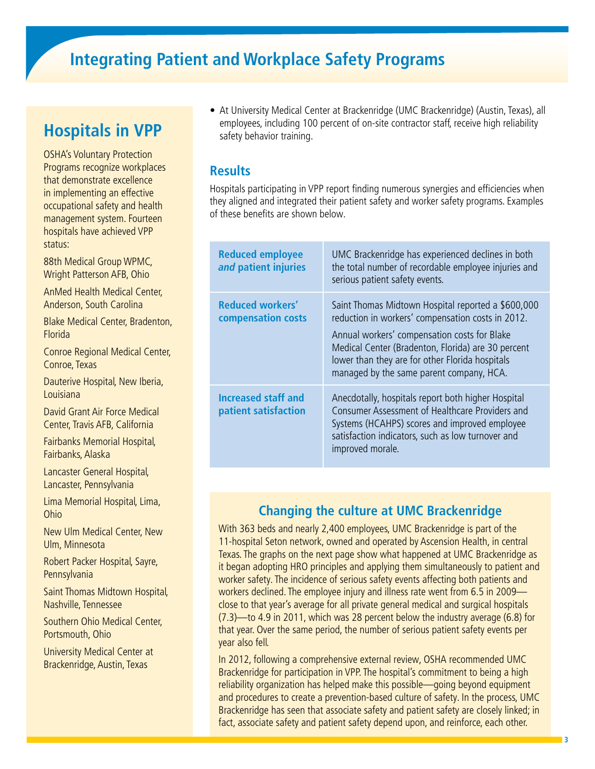# **Hospitals in VPP**

OSHA's Voluntary Protection Programs recognize workplaces that demonstrate excellence in implementing an effective occupational safety and health management system. Fourteen hospitals have achieved VPP status:

88th Medical Group WPMC, Wright Patterson AFB, Ohio

AnMed Health Medical Center, Anderson, South Carolina

Blake Medical Center, Bradenton, Florida

Conroe Regional Medical Center, Conroe, Texas

Dauterive Hospital, New Iberia, Louisiana

David Grant Air Force Medical Center, Travis AFB, California

Fairbanks Memorial Hospital, Fairbanks, Alaska

Lancaster General Hospital, Lancaster, Pennsylvania

Lima Memorial Hospital, Lima, Ohio

New Ulm Medical Center, New Ulm, Minnesota

Robert Packer Hospital, Sayre, Pennsylvania

Saint Thomas Midtown Hospital, Nashville, Tennessee

Southern Ohio Medical Center, Portsmouth, Ohio

University Medical Center at Brackenridge, Austin, Texas

• At University Medical Center at Brackenridge (UMC Brackenridge) (Austin, Texas), all employees, including 100 percent of on-site contractor staff, receive high reliability safety behavior training.

### **Results**

Hospitals participating in VPP report finding numerous synergies and efficiencies when they aligned and integrated their patient safety and worker safety programs. Examples of these benefits are shown below.

| <b>Reduced employee</b><br>and patient injuries    | UMC Brackenridge has experienced declines in both<br>the total number of recordable employee injuries and<br>serious patient safety events.                                                                                                                                                                  |
|----------------------------------------------------|--------------------------------------------------------------------------------------------------------------------------------------------------------------------------------------------------------------------------------------------------------------------------------------------------------------|
| <b>Reduced workers'</b><br>compensation costs      | Saint Thomas Midtown Hospital reported a \$600,000<br>reduction in workers' compensation costs in 2012.<br>Annual workers' compensation costs for Blake<br>Medical Center (Bradenton, Florida) are 30 percent<br>lower than they are for other Florida hospitals<br>managed by the same parent company, HCA. |
| <b>Increased staff and</b><br>patient satisfaction | Anecdotally, hospitals report both higher Hospital<br>Consumer Assessment of Healthcare Providers and<br>Systems (HCAHPS) scores and improved employee<br>satisfaction indicators, such as low turnover and<br>improved morale.                                                                              |

## **Changing the culture at UMC Brackenridge**

With 363 beds and nearly 2,400 employees, UMC Brackenridge is part of the 11-hospital Seton network, owned and operated by Ascension Health, in central Texas. The graphs on the next page show what happened at UMC Brackenridge as it began adopting HRO principles and applying them simultaneously to patient and worker safety. The incidence of serious safety events affecting both patients and workers declined. The employee injury and illness rate went from 6.5 in 2009 close to that year's average for all private general medical and surgical hospitals (7.3)—to 4.9 in 2011, which was 28 percent below the industry average (6.8) for that year. Over the same period, the number of serious patient safety events per year also fell.

In 2012, following a comprehensive external review, OSHA recommended UMC Brackenridge for participation in VPP. The hospital's commitment to being a high reliability organization has helped make this possible—going beyond equipment and procedures to create a prevention-based culture of safety. In the process, UMC Brackenridge has seen that associate safety and patient safety are closely linked; in fact, associate safety and patient safety depend upon, and reinforce, each other.